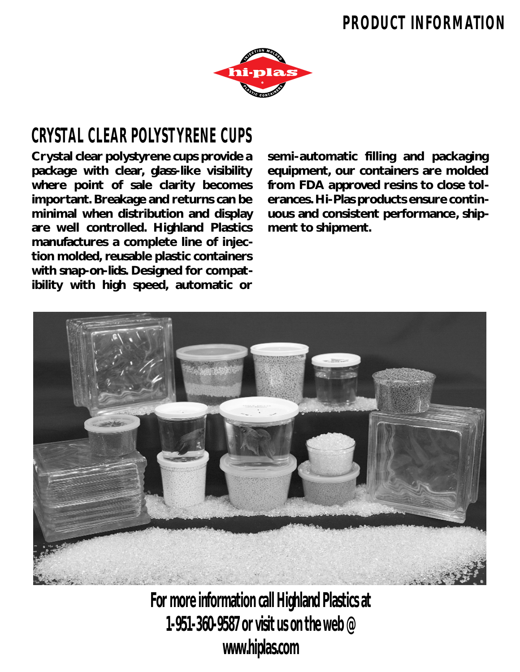## **PRODUCT INFORMATION**



## **CRYSTAL CLEAR POLYSTYRENE CUPS**

**Crystal clear polystyrene cups provide a package with clear, glass-like visibility where point of sale clarity becomes important. Breakage and returns can be minimal when distribution and display are well controlled. Highland Plastics manufactures a complete line of injection molded, reusable plastic containers with snap-on-lids. Designed for compatibility with high speed, automatic or**

**semi-automatic filling and packaging equipment, our containers are molded from FDA approved resins to close tolerances. Hi-Plas products ensure continuous and consistent performance, shipment to shipment.**



**For more information call Highland Plastics at 1-951-360-9587 or visit us on the web @ www.hiplas.com**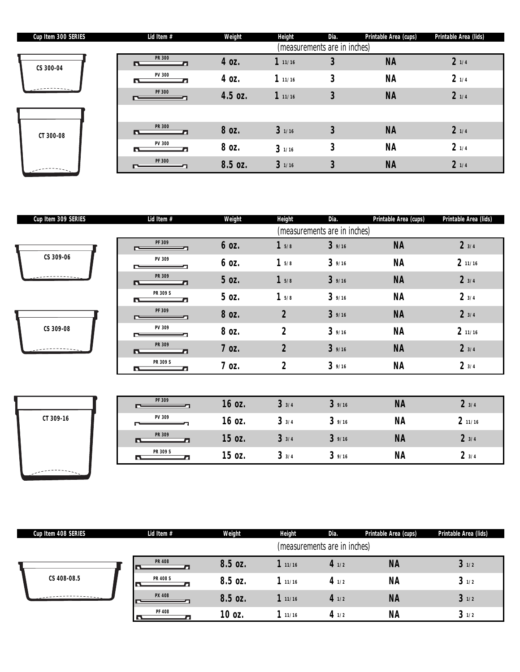| Cup Item 300 SERIES | Lid Item #         | Weight  | <b>Height</b> | Dia.                         | Printable Area (cups) | Printable Area (lids) |
|---------------------|--------------------|---------|---------------|------------------------------|-----------------------|-----------------------|
|                     |                    |         |               | (measurements are in inches) |                       |                       |
| CS 300-04           | <b>PR 300</b><br>в | 4 oz.   | 111/16        | 3                            | <b>NA</b>             | 21/4                  |
|                     | <b>PV 300</b><br>n | 4 oz.   | 111/16        | 3                            | <b>NA</b>             | 21/4                  |
|                     | <b>PF 300</b>      | 4.5 oz. | 111/16        | 3                            | <b>NA</b>             | 21/4                  |
|                     |                    |         |               |                              |                       |                       |
| CT 300-08           | <b>PR 300</b><br>r | 8 oz.   | 31/16         | 3                            | <b>NA</b>             | 21/4                  |
|                     | <b>PV 300</b><br>П | 8 oz.   | 31/16         | 3                            | <b>NA</b>             | 21/4                  |
|                     | <b>PF 300</b>      | 8.5 oz. | 31/16         | 3                            | <b>NA</b>             | 21/4                  |

| Cup Item 309 SERIES | Lid Item #         | Weight             | <b>Height</b>    | Dia.                         | Printable Area (cups) | Printable Area (lids) |
|---------------------|--------------------|--------------------|------------------|------------------------------|-----------------------|-----------------------|
|                     |                    |                    |                  | (measurements are in inches) |                       |                       |
|                     | PF 309<br>$\equiv$ | 6 oz.              | 15/8             | 39/16                        | <b>NA</b>             | 23/4                  |
| CS 309-06           | PV 309             | 6 oz.              | 15/8             | 39/16                        | <b>NA</b>             | 211/16                |
|                     | PR 309<br>ГT.      | 5 oz.              | 15/8             | 39/16                        | <b>NA</b>             | 23/4                  |
|                     | PR 309 S<br>n.     | 5 oz.              | 15/8             | 39/16                        | <b>NA</b>             | 23/4                  |
|                     | PF 309<br>∼        | 8 oz.              | $\overline{2}$   | 39/16                        | <b>NA</b>             | 23/4                  |
| CS 309-08           | PV 309             | 8 oz.              | $\overline{2}$   | 39/16                        | <b>NA</b>             | 211/16                |
|                     | PR 309<br>R        | 7 oz.              | $\overline{2}$   | 39/16                        | <b>NA</b>             | 23/4                  |
|                     | PR 309 S<br>D.     | $7$ oz.            | $\boldsymbol{2}$ | 39/16                        | ΝA                    | 23/4                  |
|                     |                    |                    |                  |                              |                       |                       |
|                     | PF 309             | 16 oz.             | 33/4             | 39/16                        | <b>NA</b>             | 23/4                  |
| CT 309-16           | PV 309             | 16.07 <sub>1</sub> | 3.3/4            | 39/16                        | <b>NA</b>             | 211/16                |



| PF 309        | 16 oz. | 33/4 | 39/16 | <b>NA</b> | 23/4   |
|---------------|--------|------|-------|-----------|--------|
| PV 309        | 16 oz. | 33/4 | 39/16 | <b>NA</b> | 211/16 |
| <b>PR 309</b> | 15 oz. | 33/4 | 39/16 | <b>NA</b> | 23/4   |
| PR 309 S      | 15 oz. | 33/4 | 39/16 | <b>NA</b> | 23/4   |

| Cup Item 408 SERIES | Lid Item #      | Weight  | <b>Height</b> | Dia.                         | Printable Area (cups) | Printable Area (lids) |
|---------------------|-----------------|---------|---------------|------------------------------|-----------------------|-----------------------|
|                     |                 |         |               | (measurements are in inches) |                       |                       |
|                     | <b>PR 408</b>   | 8.5 oz. | 111/16        | 41/2                         | <b>NA</b>             | 31/2                  |
| CS 408-08.5         | <b>PR 408 S</b> | 8.5 oz. | 111/16        | 41/2                         | <b>NA</b>             | 31/2                  |
|                     | <b>PX 408</b>   | 8.5 oz. | 111/16        | 41/2                         | <b>NA</b>             | 31/2                  |
|                     | <b>PF 408</b>   | 10 oz.  | 111/16        | 4 $1/2$                      | <b>NA</b>             | 31/2                  |